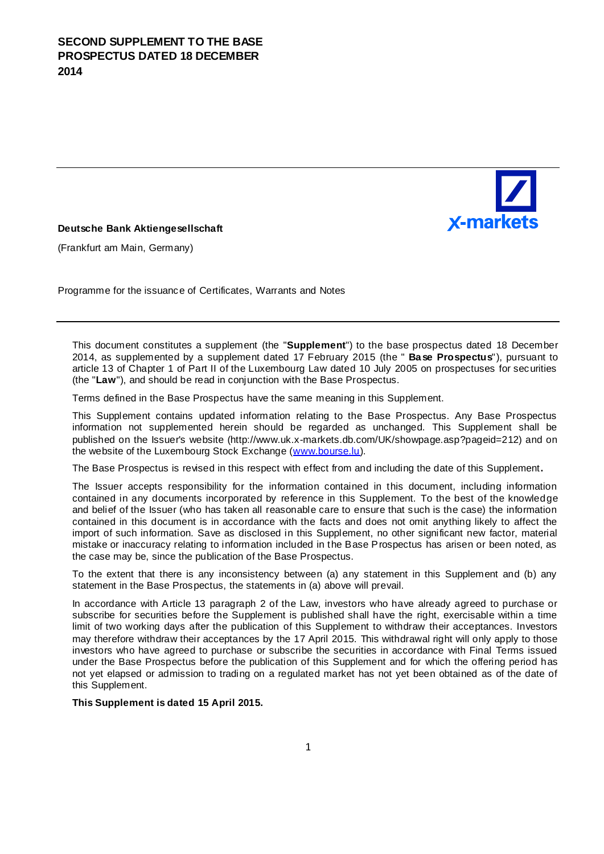

#### **Deutsche Bank Aktiengesellschaft**

(Frankfurt am Main, Germany)

Programme for the issuance of Certificates, Warrants and Notes

This document constitutes a supplement (the "**Supplement**") to the base prospectus dated 18 December 2014, as supplemented by a supplement dated 17 February 2015 (the " **Base Prospectus**"), pursuant to article 13 of Chapter 1 of Part II of the Luxembourg Law dated 10 July 2005 on prospectuses for securities (the "**Law**"), and should be read in conjunction with the Base Prospectus.

Terms defined in the Base Prospectus have the same meaning in this Supplement.

This Supplement contains updated information relating to the Base Prospectus. Any Base Prospectus information not supplemented herein should be regarded as unchanged. This Supplement shall be published on the Issuer's website (http://www.uk.x-markets.db.com/UK/showpage.asp?pag[eid=212\) and on](http://www.bourse.lu/) the website of the Luxembourg Stock Exchange (www.bourse.lu).

The Base Prospectus is revised in this respect with effect from and including the date of this Supplement**.**

The Issuer accepts responsibility for the information contained in this document, including information contained in any documents incorporated by reference in this Supplement. To the best of the knowledge and belief of the Issuer (who has taken all reasonable care to ensure that such is the case) the information contained in this document is in accordance with the facts and does not omit anything likely to affect the import of such information. Save as disclosed in this Supplement, no other significant new factor, material mistake or inaccuracy relating to information included in the Base Prospectus has arisen or been noted, as the case may be, since the publication of the Base Prospectus.

To the extent that there is any inconsistency between (a) any statement in this Supplement and (b) any statement in the Base Prospectus, the statements in (a) above will prevail.

In accordance with Article 13 paragraph 2 of the Law, investors who have already agreed to purchase or subscribe for securities before the Supplement is published shall have the right, exercisable within a time limit of two working days after the publication of this Supplement to withdraw their acceptances. Investors may therefore withdraw their acceptances by the 17 April 2015. This withdrawal right will only apply to those investors who have agreed to purchase or subscribe the securities in accordance with Final Terms issued under the Base Prospectus before the publication of this Supplement and for which the offering period has not yet elapsed or admission to trading on a regulated market has not yet been obtained as of the date of this Supplement.

**This Supplement is dated 15 April 2015.**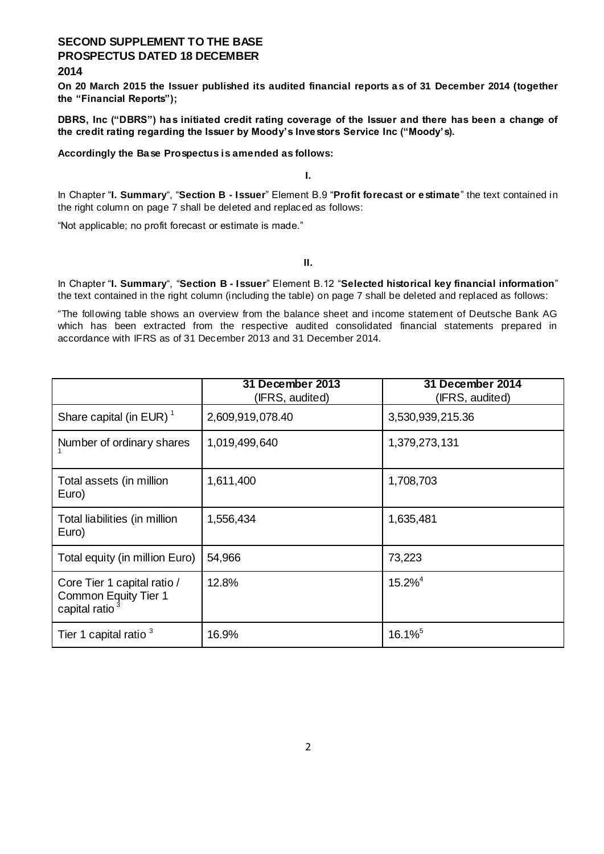### **2014**

**On 20 March 2015 the Issuer published its audited financial reports as of 31 December 2014 (together the "Financial Reports");**

**DBRS, Inc ("DBRS") has initiated credit rating coverage of the Issuer and there has been a change of the credit rating regarding the Issuer by Moody's Investors Service Inc ("Moody's).**

#### **Accordingly the Base Prospectus is amended as follows:**

**I.**

In Chapter "**I. Summary**", "**Section B - Issuer**" Element B.9 "**Profit forecast or estimate**" the text contained in the right column on page 7 shall be deleted and replaced as follows:

"Not applicable; no profit forecast or estimate is made."

**II.**

In Chapter "**I. Summary**", "**Section B - Issuer**" Element B.12 "**Selected historical key financial information**" the text contained in the right column (including the table) on page 7 shall be deleted and replaced as follows:

"The following table shows an overview from the balance sheet and income statement of Deutsche Bank AG which has been extracted from the respective audited consolidated financial statements prepared in accordance with IFRS as of 31 December 2013 and 31 December 2014.

|                                                                                   | 31 December 2013<br>(IFRS, audited) | 31 December 2014<br>(IFRS, audited) |
|-----------------------------------------------------------------------------------|-------------------------------------|-------------------------------------|
| Share capital (in EUR) $1$                                                        | 2,609,919,078.40                    | 3,530,939,215.36                    |
| Number of ordinary shares                                                         | 1,019,499,640                       | 1,379,273,131                       |
| Total assets (in million<br>Euro)                                                 | 1,611,400                           | 1,708,703                           |
| Total liabilities (in million<br>Euro)                                            | 1,556,434                           | 1,635,481                           |
| Total equity (in million Euro)                                                    | 54,966                              | 73,223                              |
| Core Tier 1 capital ratio /<br>Common Equity Tier 1<br>capital ratio <sup>3</sup> | 12.8%                               | $15.2\%$ <sup>4</sup>               |
| Tier 1 capital ratio <sup>3</sup>                                                 | 16.9%                               | $16.1\%$ <sup>5</sup>               |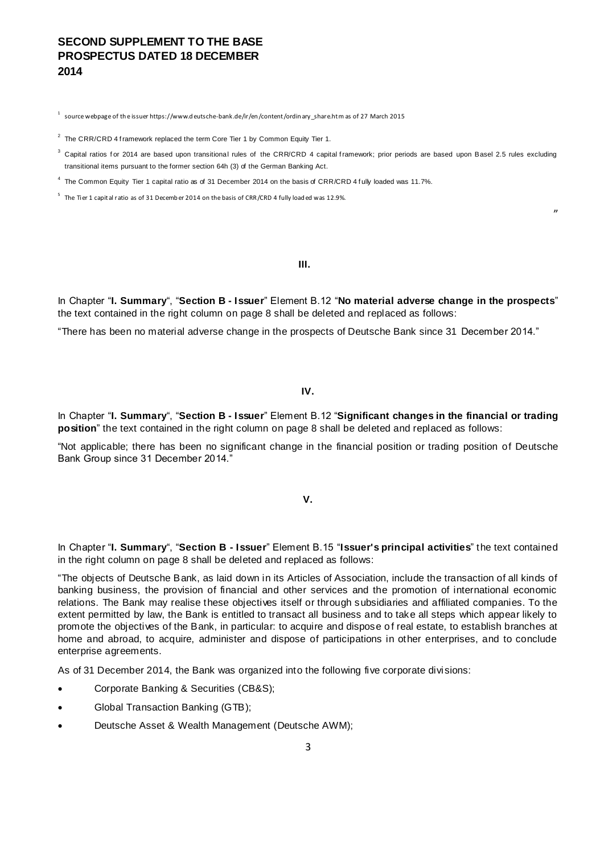$^{\rm 1}\,$  source webpage of the issuer https://www.d eutsche-bank.de/ir/en/content/ordin ary\_share.htm as of 27 March 2015

 $2$  The CRR/CRD 4 framework replaced the term Core Tier 1 by Common Equity Tier 1.

 $^3$  Capital ratios for 2014 are based upon transitional rules of the CRR/CRD 4 capital framework; prior periods are based upon Basel 2.5 rules excluding transitional items pursuant to the former section 64h (3) of the German Banking Act.

"

<sup>4</sup> The Common Equity Tier 1 capital ratio as of 31 December 2014 on the basis of CRR/CRD 4 fully loaded was 11.7%.

 $^5$  The Tier 1 capital ratio as of 31 December 2014 on the basis of CRR/CRD 4 fully loaded was 12.9%.

**III.**

In Chapter "**I. Summary**", "**Section B - Issuer**" Element B.12 "**No material adverse change in the prospects**" the text contained in the right column on page 8 shall be deleted and replaced as follows:

"There has been no material adverse change in the prospects of Deutsche Bank since 31 December 2014."

#### **IV.**

In Chapter "**I. Summary**", "**Section B - Issuer**" Element B.12 "**Significant changes in the financial or trading position**" the text contained in the right column on page 8 shall be deleted and replaced as follows:

"Not applicable; there has been no significant change in the financial position or trading position of Deutsche Bank Group since 31 December 2014."

**V.**

In Chapter "**I. Summary**", "**Section B - Issuer**" Element B.15 "**Issuer's principal activities**" the text contained in the right column on page 8 shall be deleted and replaced as follows:

"The objects of Deutsche Bank, as laid down in its Articles of Association, include the transaction of all kinds of banking business, the provision of financial and other services and the promotion of international economic relations. The Bank may realise these objectives itself or through subsidiaries and affiliated companies. To the extent permitted by law, the Bank is entitled to transact all business and to take all steps which appear likely to promote the objectives of the Bank, in particular: to acquire and dispose o f real estate, to establish branches at home and abroad, to acquire, administer and dispose of participations in other enterprises, and to conclude enterprise agreements.

As of 31 December 2014, the Bank was organized into the following five corporate divisions:

- Corporate Banking & Securities (CB&S);
- Global Transaction Banking (GTB);
- Deutsche Asset & Wealth Management (Deutsche AWM);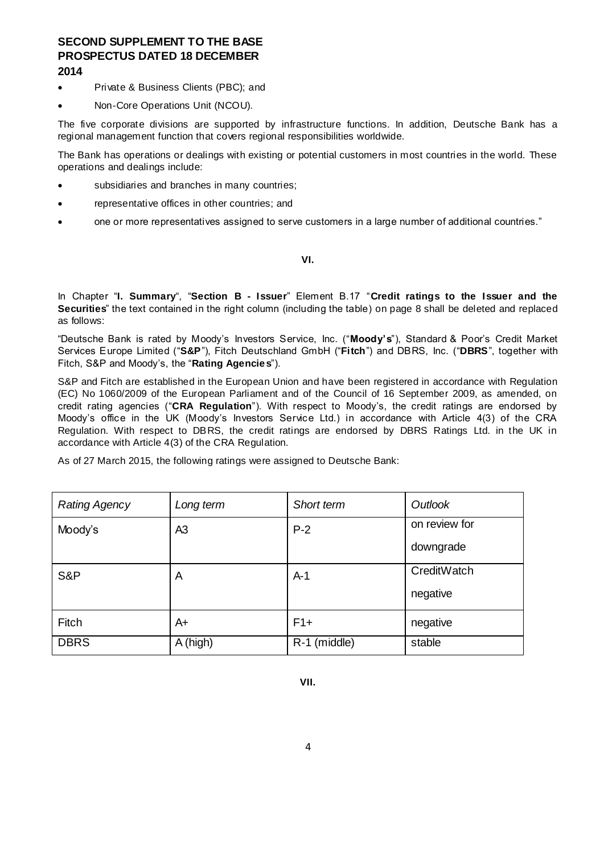- Private & Business Clients (PBC); and
- Non-Core Operations Unit (NCOU).

The five corporate divisions are supported by infrastructure functions. In addition, Deutsche Bank has a regional management function that covers regional responsibilities worldwide.

The Bank has operations or dealings with existing or potential customers in most countries in the world. These operations and dealings include:

- subsidiaries and branches in many countries;
- representative offices in other countries; and
- one or more representatives assigned to serve customers in a large number of additional countries."

#### **VI.**

In Chapter "**I. Summary**", "**Section B - Issuer**" Element B.17 "**Credit ratings to the Issuer and the Securities**" the text contained in the right column (including the table) on page 8 shall be deleted and replaced as follows:

"Deutsche Bank is rated by Moody's Investors Service, Inc. ("**Moody's**"), Standard & Poor's Credit Market Services Europe Limited ("**S&P**"), Fitch Deutschland GmbH ("**Fitch**") and DBRS, Inc. ("**DBRS**", together with Fitch, S&P and Moody's, the "**Rating Agencies**").

S&P and Fitch are established in the European Union and have been registered in accordance with Regulation (EC) No 1060/2009 of the European Parliament and of the Council of 16 September 2009, as amended, on credit rating agencies ("**CRA Regulation**"). With respect to Moody's, the credit ratings are endorsed by Moody's office in the UK (Moody's Investors Service Ltd.) in accordance with Article 4(3) of the CRA Regulation. With respect to DBRS, the credit ratings are endorsed by DBRS Ratings Ltd. in the UK in accordance with Article 4(3) of the CRA Regulation.

As of 27 March 2015, the following ratings were assigned to Deutsche Bank:

| <b>Rating Agency</b> | Long term      | Short term   | Outlook       |
|----------------------|----------------|--------------|---------------|
| Moody's              | A <sub>3</sub> | $P-2$        | on review for |
|                      |                |              | downgrade     |
| S&P                  | A              | $A-1$        | CreditWatch   |
|                      |                |              | negative      |
| Fitch                | A+             | $F1+$        | negative      |
| <b>DBRS</b>          | A (high)       | R-1 (middle) | stable        |

**VII.**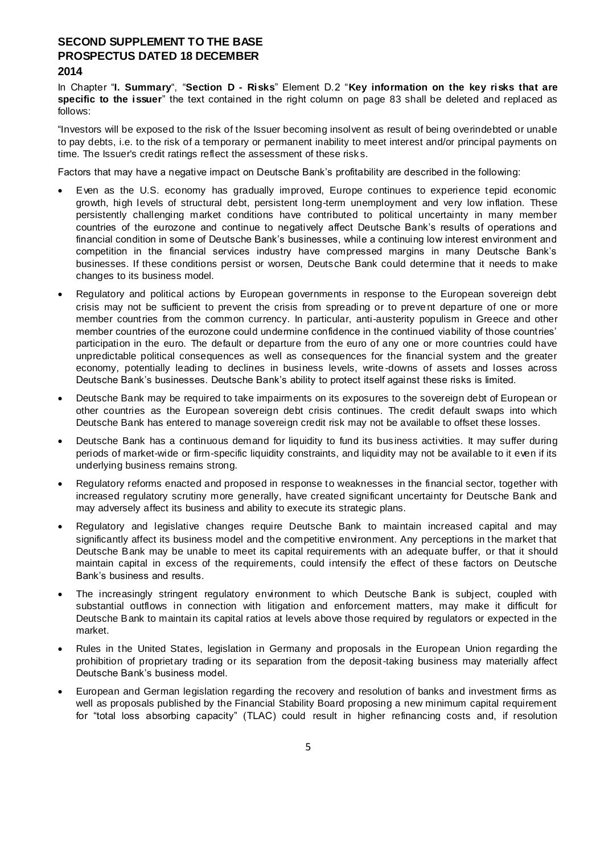In Chapter "**I. Summary**", "**Section D - Risks**" Element D.2 "**Key information on the key risks that are specific to the issuer**" the text contained in the right column on page 83 shall be deleted and replaced as follows:

"Investors will be exposed to the risk of the Issuer becoming insolvent as result of being overindebted or unable to pay debts, i.e. to the risk of a temporary or permanent inability to meet interest and/or principal payments on time. The Issuer's credit ratings reflect the assessment of these risks.

Factors that may have a negative impact on Deutsche Bank's profitability are described in the following:

- Even as the U.S. economy has gradually improved, Europe continues to experience tepid economic growth, high levels of structural debt, persistent long-term unemployment and very low inflation. These persistently challenging market conditions have contributed to political uncertainty in many member countries of the eurozone and continue to negatively affect Deutsche Bank's results of operations and financial condition in some of Deutsche Bank's businesses, while a continuing low interest environment and competition in the financial services industry have compressed margins in many Deutsche Bank's businesses. If these conditions persist or worsen, Deutsche Bank could determine that it needs to make changes to its business model.
- Regulatory and political actions by European governments in response to the European sovereign debt crisis may not be sufficient to prevent the crisis from spreading or to preve nt departure of one or more member countries from the common currency. In particular, anti-austerity populism in Greece and other member countries of the eurozone could undermine confidence in the continued viability of those countries' participation in the euro. The default or departure from the euro of any one or more countries could have unpredictable political consequences as well as consequences for the financial system and the greater economy, potentially leading to declines in business levels, write -downs of assets and losses across Deutsche Bank's businesses. Deutsche Bank's ability to protect itself against these risks is limited.
- Deutsche Bank may be required to take impairments on its exposures to the sovereign debt of European or other countries as the European sovereign debt crisis continues. The credit default swaps into which Deutsche Bank has entered to manage sovereign credit risk may not be available to offset these losses.
- Deutsche Bank has a continuous demand for liquidity to fund its bus iness activities. It may suffer during periods of market-wide or firm-specific liquidity constraints, and liquidity may not be available to it even if its underlying business remains strong.
- Regulatory reforms enacted and proposed in response to weaknesses in the financial sector, together with increased regulatory scrutiny more generally, have created significant uncertainty for Deutsche Bank and may adversely affect its business and ability to execute its strategic plans.
- Regulatory and legislative changes require Deutsche Bank to maintain increased capital and may significantly affect its business model and the competitive environment. Any perceptions in the market that Deutsche Bank may be unable to meet its capital requirements with an adequate buffer, or that it should maintain capital in excess of the requirements, could intensify the effect of these factors on Deutsche Bank's business and results.
- The increasingly stringent regulatory environment to which Deutsche Bank is subject, coupled with substantial outflows in connection with litigation and enforcement matters, may make it difficult for Deutsche Bank to maintain its capital ratios at levels above those required by regulators or expected in the market.
- Rules in the United States, legislation in Germany and proposals in the European Union regarding the prohibition of proprietary trading or its separation from the deposit-taking business may materially affect Deutsche Bank's business model.
- European and German legislation regarding the recovery and resolution of banks and investment firms as well as proposals published by the Financial Stability Board proposing a new minimum capital requirement for "total loss absorbing capacity" (TLAC) could result in higher refinancing costs and, if resolution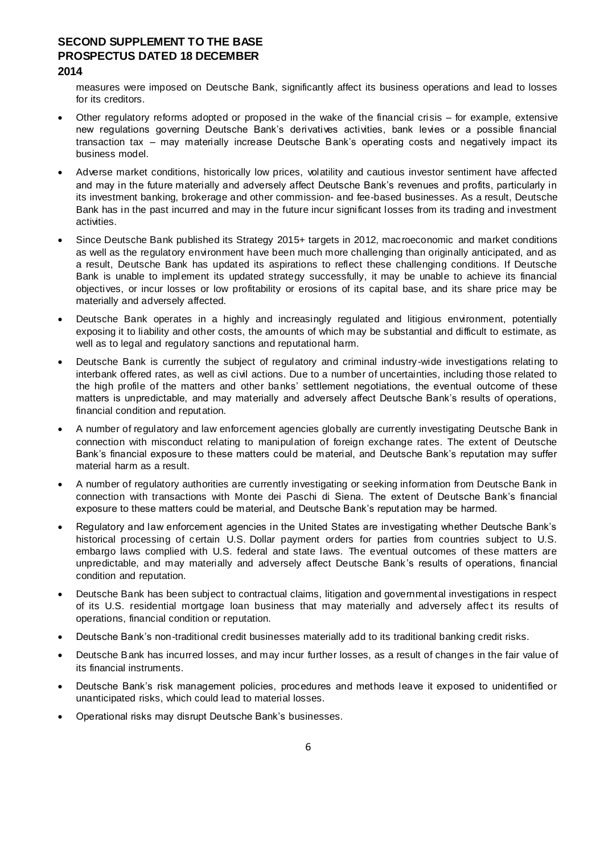measures were imposed on Deutsche Bank, significantly affect its business operations and lead to losses for its creditors.

- Other regulatory reforms adopted or proposed in the wake of the financial crisis for example, extensive new regulations governing Deutsche Bank's derivatives activities, bank levies or a possible financial transaction tax – may materially increase Deutsche Bank's operating costs and negatively impact its business model.
- Adverse market conditions, historically low prices, volatility and cautious investor sentiment have affected and may in the future materially and adversely affect Deutsche Bank's revenues and profits, particularly in its investment banking, brokerage and other commission- and fee-based businesses. As a result, Deutsche Bank has in the past incurred and may in the future incur significant losses from its trading and investment activities.
- Since Deutsche Bank published its Strategy 2015+ targets in 2012, macroeconomic and market conditions as well as the regulatory environment have been much more challenging than originally anticipated, and as a result, Deutsche Bank has updated its aspirations to reflect these challenging conditions. If Deutsche Bank is unable to implement its updated strategy successfully, it may be unable to achieve its financial objectives, or incur losses or low profitability or erosions of its capital base, and its share price may be materially and adversely affected.
- Deutsche Bank operates in a highly and increasingly regulated and litigious environment, potentially exposing it to liability and other costs, the amounts of which may be substantial and difficult to estimate, as well as to legal and regulatory sanctions and reputational harm.
- Deutsche Bank is currently the subject of regulatory and criminal industry-wide investigations relating to interbank offered rates, as well as civil actions. Due to a number of uncertainties, including those related to the high profile of the matters and other banks' settlement negotiations, the eventual outcome of these matters is unpredictable, and may materially and adversely affect Deutsche Bank's results of operations, financial condition and reputation.
- A number of regulatory and law enforcement agencies globally are currently investigating Deutsche Bank in connection with misconduct relating to manipulation of foreign exchange rates. The extent of Deutsche Bank's financial exposure to these matters could be material, and Deutsche Bank's reputation may suffer material harm as a result.
- A number of regulatory authorities are currently investigating or seeking information from Deutsche Bank in connection with transactions with Monte dei Paschi di Siena. The extent of Deutsche Bank's financial exposure to these matters could be material, and Deutsche Bank's reputation may be harmed.
- Regulatory and law enforcement agencies in the United States are investigating whether Deutsche Bank's historical processing of certain U.S. Dollar payment orders for parties from countries subject to U.S. embargo laws complied with U.S. federal and state laws. The eventual outcomes of these matters are unpredictable, and may materially and adversely affect Deutsche Bank 's results of operations, financial condition and reputation.
- Deutsche Bank has been subject to contractual claims, litigation and governmental investigations in respect of its U.S. residential mortgage loan business that may materially and adversely affec t its results of operations, financial condition or reputation.
- Deutsche Bank's non-traditional credit businesses materially add to its traditional banking credit risks.
- Deutsche Bank has incurred losses, and may incur further losses, as a result of changes in the fair value of its financial instruments.
- Deutsche Bank's risk management policies, procedures and methods leave it exposed to unidentified or unanticipated risks, which could lead to material losses.
- Operational risks may disrupt Deutsche Bank's businesses.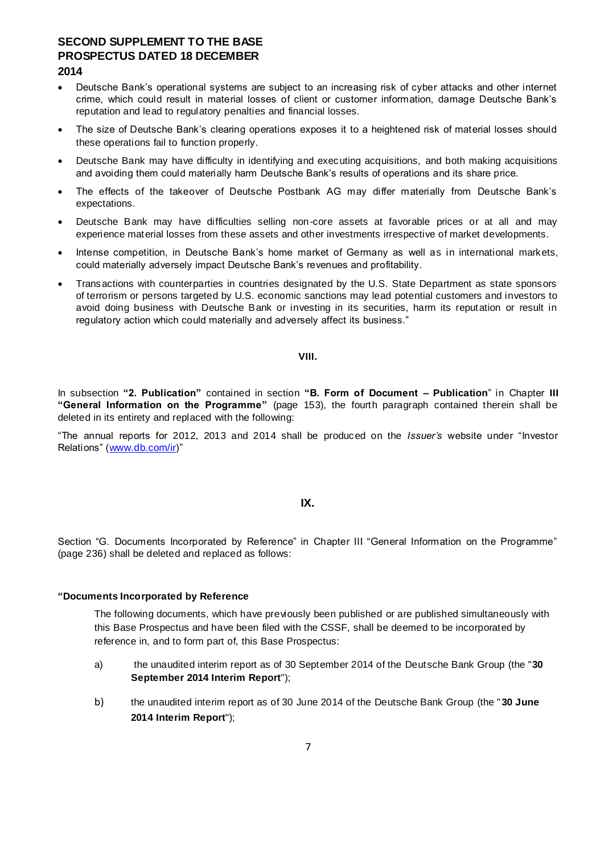- Deutsche Bank's operational systems are subject to an increasing risk of cyber attacks and other internet crime, which could result in material losses of client or customer information, damage Deutsche Bank's reputation and lead to regulatory penalties and financial losses.
- The size of Deutsche Bank's clearing operations exposes it to a heightened risk of material losses should these operations fail to function properly.
- Deutsche Bank may have difficulty in identifying and executing acquisitions, and both making acquisitions and avoiding them could materially harm Deutsche Bank's results of operations and its share price.
- The effects of the takeover of Deutsche Postbank AG may differ materially from Deutsche Bank's expectations.
- Deutsche Bank may have difficulties selling non-core assets at favorable prices or at all and may experience material losses from these assets and other investments irrespective of market developments.
- Intense competition, in Deutsche Bank's home market of Germany as well as in international markets, could materially adversely impact Deutsche Bank's revenues and profitability.
- Transactions with counterparties in countries designated by the U.S. State Department as state sponsors of terrorism or persons targeted by U.S. economic sanctions may lead potential customers and investors to avoid doing business with Deutsche Bank or investing in its securities, harm its reputation or result in regulatory action which could materially and adversely affect its business."

#### **VIII.**

In subsection **"2. Publication"** contained in section **"B. Form of Document – Publication**" in Chapter **III "General Information on the Programme"** (page 153), the fourth paragraph contained therein shall be deleted in its entirety and replaced with the following:

"The annual reports for 2012, 2013 and 2014 shall be produced on the *Issuer's* website under "Investor Relations" [\(www.db.com/ir\)](http://www.db.com/ir)"

#### **IX.**

Section "G. Documents Incorporated by Reference" in Chapter III "General Information on the Programme" (page 236) shall be deleted and replaced as follows:

#### **"Documents Incorporated by Reference**

The following documents, which have previously been published or are published simultaneously with this Base Prospectus and have been filed with the CSSF, shall be deemed to be incorporated by reference in, and to form part of, this Base Prospectus:

- a) the unaudited interim report as of 30 September 2014 of the Deutsche Bank Group (the "**30 September 2014 Interim Report**");
- b) the unaudited interim report as of 30 June 2014 of the Deutsche Bank Group (the "**30 June 2014 Interim Report**");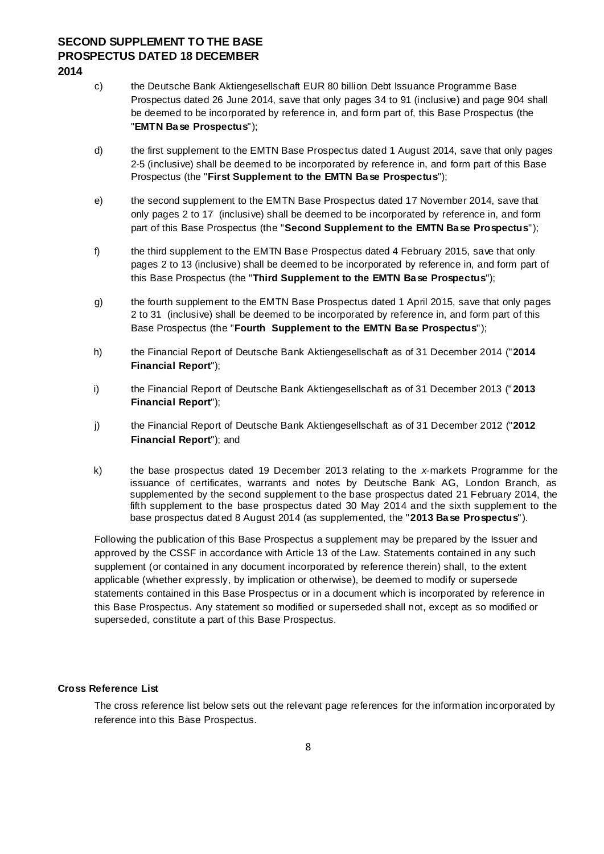- c) the Deutsche Bank Aktiengesellschaft EUR 80 billion Debt Issuance Programme Base Prospectus dated 26 June 2014, save that only pages 34 to 91 (inclusive) and page 904 shall be deemed to be incorporated by reference in, and form part of, this Base Prospectus (the "**EMTN Base Prospectus**");
- d) the first supplement to the EMTN Base Prospectus dated 1 August 2014, save that only pages 2-5 (inclusive) shall be deemed to be incorporated by reference in, and form part of this Base Prospectus (the "**First Supplement to the EMTN Base Prospectus**");
- e) the second supplement to the EMTN Base Prospectus dated 17 November 2014, save that only pages 2 to 17 (inclusive) shall be deemed to be incorporated by reference in, and form part of this Base Prospectus (the "**Second Supplement to the EMTN Base Prospectus**");
- f) the third supplement to the EMTN Base Prospectus dated 4 February 2015, save that only pages 2 to 13 (inclusive) shall be deemed to be incorporated by reference in, and form part of this Base Prospectus (the "**Third Supplement to the EMTN Base Prospectus**");
- g) the fourth supplement to the EMTN Base Prospectus dated 1 April 2015, save that only pages 2 to 31 (inclusive) shall be deemed to be incorporated by reference in, and form part of this Base Prospectus (the "**Fourth Supplement to the EMTN Base Prospectus**");
- h) the Financial Report of Deutsche Bank Aktiengesellschaft as of 31 December 2014 ("**2014 Financial Report**");
- i) the Financial Report of Deutsche Bank Aktiengesellschaft as of 31 December 2013 ("**2013 Financial Report**");
- j) the Financial Report of Deutsche Bank Aktiengesellschaft as of 31 December 2012 ("**2012 Financial Report**"); and
- k) the base prospectus dated 19 December 2013 relating to the *x*-markets Programme for the issuance of certificates, warrants and notes by Deutsche Bank AG, London Branch, as supplemented by the second supplement to the base prospectus dated 21 February 2014, the fifth supplement to the base prospectus dated 30 May 2014 and the sixth supplement to the base prospectus dated 8 August 2014 (as supplemented, the "**2013 Base Prospectus**").

Following the publication of this Base Prospectus a supplement may be prepared by the Issuer and approved by the CSSF in accordance with Article 13 of the Law. Statements contained in any such supplement (or contained in any document incorporated by reference therein) shall, to the extent applicable (whether expressly, by implication or otherwise), be deemed to modify or supersede statements contained in this Base Prospectus or in a document which is incorporated by reference in this Base Prospectus. Any statement so modified or superseded shall not, except as so modified or superseded, constitute a part of this Base Prospectus.

### **Cross Reference List**

The cross reference list below sets out the relevant page references for the information incorporated by reference into this Base Prospectus.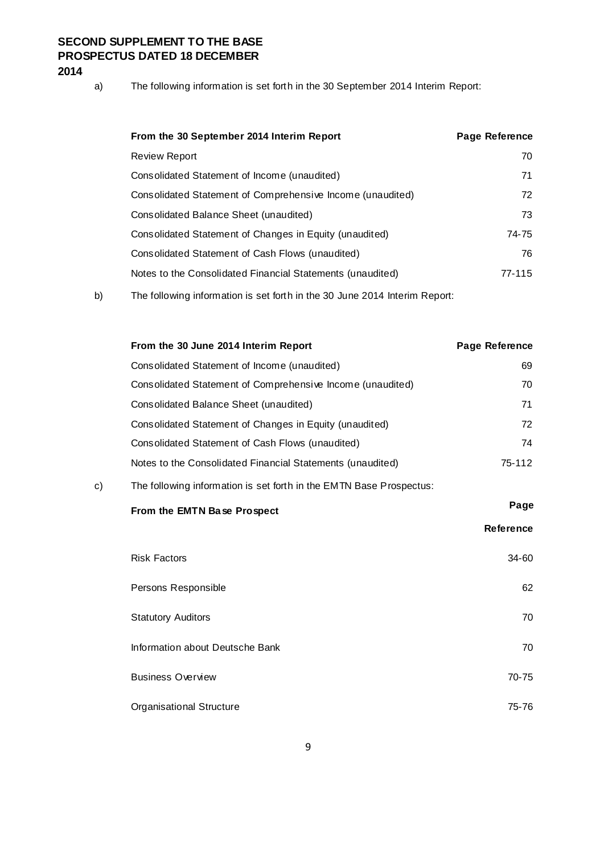a) The following information is set forth in the 30 September 2014 Interim Report:

| From the 30 September 2014 Interim Report                  | Page Reference |
|------------------------------------------------------------|----------------|
| Review Report                                              | 70             |
| Consolidated Statement of Income (unaudited)               | 71             |
| Consolidated Statement of Comprehensive Income (unaudited) | 72             |
| Consolidated Balance Sheet (unaudited)                     | 73             |
| Consolidated Statement of Changes in Equity (unaudited)    | 74-75          |
| Consolidated Statement of Cash Flows (unaudited)           | 76             |
| Notes to the Consolidated Financial Statements (unaudited) | 77-115         |
|                                                            |                |

b) The following information is set forth in the 30 June 2014 Interim Report:

|    | From the 30 June 2014 Interim Report                                | Page Reference   |
|----|---------------------------------------------------------------------|------------------|
|    | Consolidated Statement of Income (unaudited)                        | 69               |
|    | Consolidated Statement of Comprehensive Income (unaudited)          | 70               |
|    | Consolidated Balance Sheet (unaudited)                              | 71               |
|    | Consolidated Statement of Changes in Equity (unaudited)             | 72               |
|    | Consolidated Statement of Cash Flows (unaudited)                    | 74               |
|    | Notes to the Consolidated Financial Statements (unaudited)          | 75-112           |
| c) | The following information is set forth in the EMTN Base Prospectus: |                  |
|    | From the EMTN Base Prospect                                         | Page             |
|    |                                                                     | <b>Reference</b> |
|    | <b>Risk Factors</b>                                                 | 34-60            |
|    | Persons Responsible                                                 | 62               |
|    | <b>Statutory Auditors</b>                                           | 70               |
|    | Information about Deutsche Bank                                     | 70               |
|    | <b>Business Overview</b>                                            | $70 - 75$        |
|    | <b>Organisational Structure</b>                                     | 75-76            |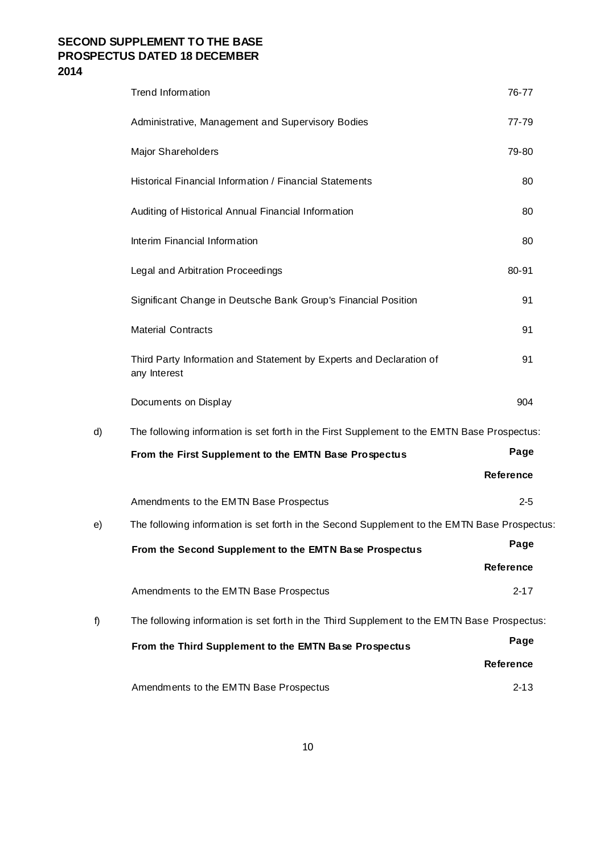|    | <b>Trend Information</b>                                                                     | 76-77            |
|----|----------------------------------------------------------------------------------------------|------------------|
|    | Administrative, Management and Supervisory Bodies                                            | $77 - 79$        |
|    | Major Shareholders                                                                           | 79-80            |
|    | Historical Financial Information / Financial Statements                                      | 80               |
|    | Auditing of Historical Annual Financial Information                                          | 80               |
|    | Interim Financial Information                                                                | 80               |
|    | Legal and Arbitration Proceedings                                                            | 80-91            |
|    | Significant Change in Deutsche Bank Group's Financial Position                               | 91               |
|    | <b>Material Contracts</b>                                                                    | 91               |
|    | Third Party Information and Statement by Experts and Declaration of<br>any Interest          | 91               |
|    | Documents on Display                                                                         | 904              |
| d) | The following information is set forth in the First Supplement to the EMTN Base Prospectus:  |                  |
|    | From the First Supplement to the EMTN Base Prospectus                                        | Page             |
|    |                                                                                              | <b>Reference</b> |
|    | Amendments to the EMTN Base Prospectus                                                       | $2 - 5$          |
| e) | The following information is set forth in the Second Supplement to the EMTN Base Prospectus. |                  |
|    | From the Second Supplement to the EMTN Base Prospectus                                       | Page             |
|    |                                                                                              | Reference        |
|    | Amendments to the EMTN Base Prospectus                                                       | $2 - 17$         |
| f) | The following information is set forth in the Third Supplement to the EMTN Base Prospectus:  |                  |
|    | From the Third Supplement to the EMTN Base Prospectus                                        | Page             |
|    |                                                                                              | Reference        |
|    | Amendments to the EMTN Base Prospectus                                                       | $2 - 13$         |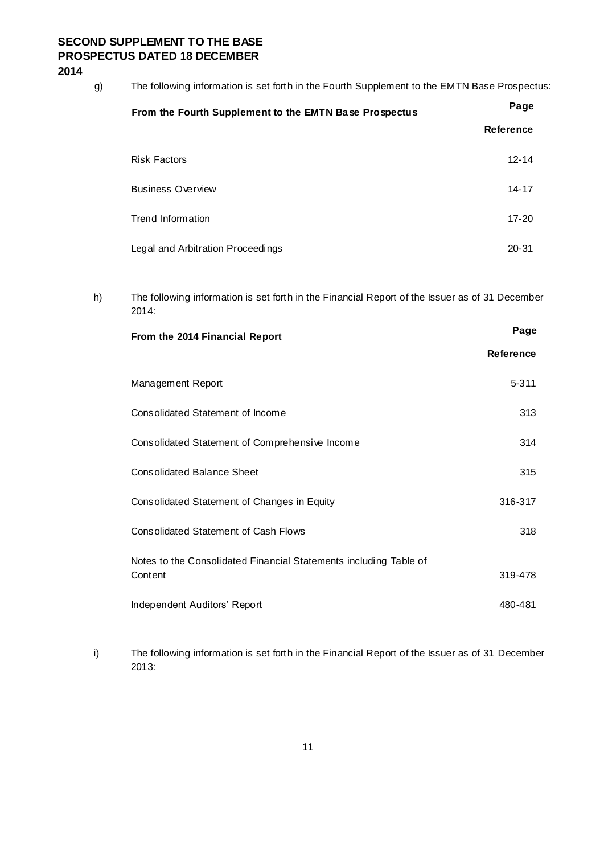g) The following information is set forth in the Fourth Supplement to the EMTN Base Prospectus:

| From the Fourth Supplement to the EMTN Base Prospectus | Page             |
|--------------------------------------------------------|------------------|
|                                                        | <b>Reference</b> |
| <b>Risk Factors</b>                                    | $12 - 14$        |
| <b>Business Overview</b>                               | 14-17            |
| Trend Information                                      | $17 - 20$        |
| Legal and Arbitration Proceedings                      | $20 - 31$        |

h) The following information is set forth in the Financial Report of the Issuer as of 31 December 2014:

| From the 2014 Financial Report                                               | Page             |
|------------------------------------------------------------------------------|------------------|
|                                                                              | <b>Reference</b> |
| Management Report                                                            | 5-311            |
| Consolidated Statement of Income                                             | 313              |
| Consolidated Statement of Comprehensive Income                               | 314              |
| <b>Consolidated Balance Sheet</b>                                            | 315              |
| Consolidated Statement of Changes in Equity                                  | 316-317          |
| <b>Consolidated Statement of Cash Flows</b>                                  | 318              |
| Notes to the Consolidated Financial Statements including Table of<br>Content | 319-478          |
| Independent Auditors' Report                                                 | 480-481          |

i) The following information is set forth in the Financial Report of the Issuer as of 31 December 2013: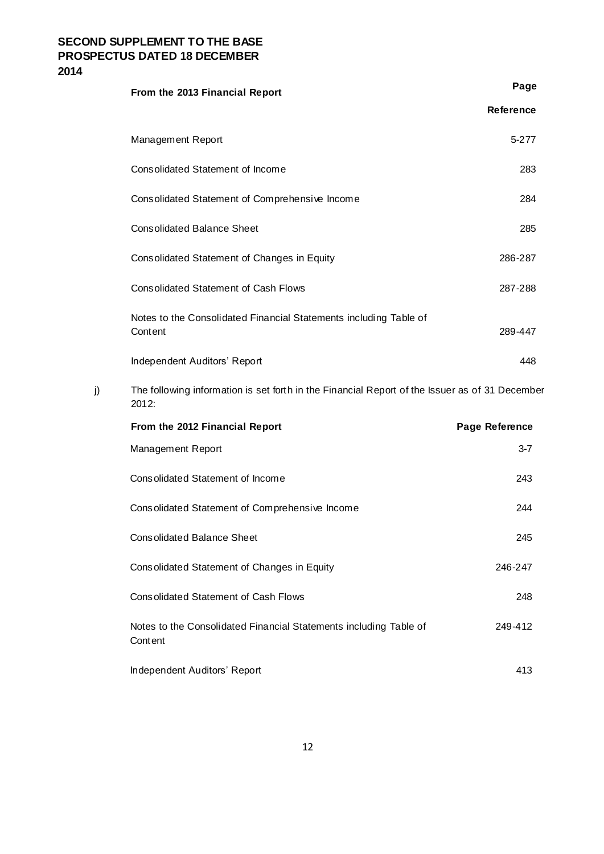|    | From the 2013 Financial Report                                                                          | Page           |
|----|---------------------------------------------------------------------------------------------------------|----------------|
|    |                                                                                                         | Reference      |
|    | Management Report                                                                                       | 5-277          |
|    | Consolidated Statement of Income                                                                        | 283            |
|    | Consolidated Statement of Comprehensive Income                                                          | 284            |
|    | <b>Consolidated Balance Sheet</b>                                                                       | 285            |
|    | Consolidated Statement of Changes in Equity                                                             | 286-287        |
|    | <b>Consolidated Statement of Cash Flows</b>                                                             | 287-288        |
|    | Notes to the Consolidated Financial Statements including Table of<br>Content                            | 289-447        |
|    | Independent Auditors' Report                                                                            | 448            |
| j) | The following information is set forth in the Financial Report of the Issuer as of 31 December<br>2012: |                |
|    | From the 2012 Financial Report                                                                          | Page Reference |
|    | Management Report                                                                                       | $3 - 7$        |
|    | Consolidated Statement of Income                                                                        | 243            |
|    | Consolidated Statement of Comprehensive Income                                                          | 244            |
|    | <b>Consolidated Balance Sheet</b>                                                                       | 245            |
|    | Consolidated Statement of Changes in Equity                                                             | 246-247        |
|    | <b>Consolidated Statement of Cash Flows</b>                                                             | 248            |
|    | Notes to the Consolidated Financial Statements including Table of<br>Content                            | 249-412        |
|    | Independent Auditors' Report                                                                            | 413            |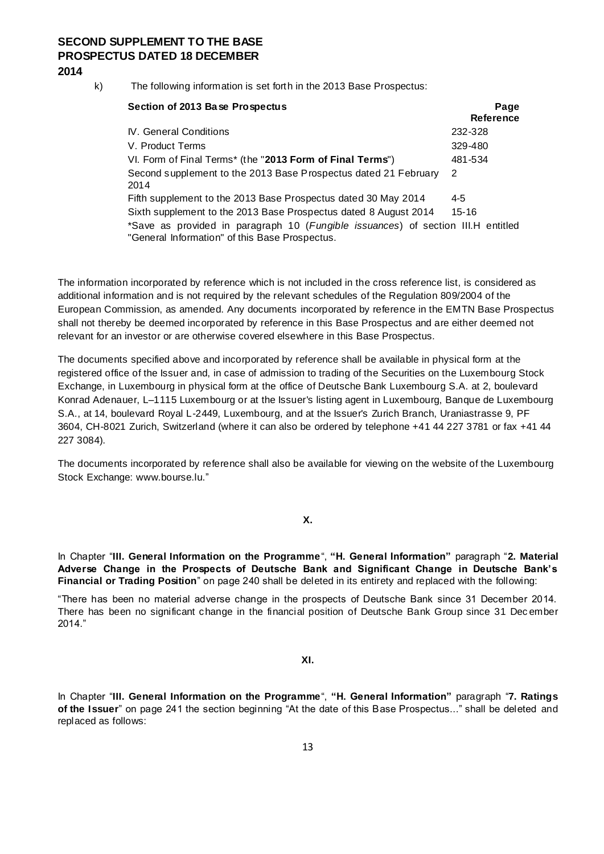k) The following information is set forth in the 2013 Base Prospectus:

| Section of 2013 Base Prospectus                                                                                                    | Page             |
|------------------------------------------------------------------------------------------------------------------------------------|------------------|
|                                                                                                                                    | <b>Reference</b> |
| IV. General Conditions                                                                                                             | 232-328          |
| V. Product Terms                                                                                                                   | 329-480          |
| VI. Form of Final Terms* (the "2013 Form of Final Terms")                                                                          | 481-534          |
| Second supplement to the 2013 Base Prospectus dated 21 February<br>2014                                                            | 2                |
|                                                                                                                                    |                  |
| Fifth supplement to the 2013 Base Prospectus dated 30 May 2014                                                                     | 4-5              |
| Sixth supplement to the 2013 Base Prospectus dated 8 August 2014                                                                   | 15-16            |
| *Save as provided in paragraph 10 (Fungible issuances) of section III.H entitled<br>"General Information" of this Base Prospectus. |                  |

The information incorporated by reference which is not included in the cross reference list, is considered as additional information and is not required by the relevant schedules of the Regulation 809/2004 of the European Commission, as amended. Any documents incorporated by reference in the EMTN Base Prospectus shall not thereby be deemed incorporated by reference in this Base Prospectus and are either deemed not relevant for an investor or are otherwise covered elsewhere in this Base Prospectus.

The documents specified above and incorporated by reference shall be available in physical form at the registered office of the Issuer and, in case of admission to trading of the Securities on the Luxembourg Stock Exchange, in Luxembourg in physical form at the office of Deutsche Bank Luxembourg S.A. at 2, boulevard Konrad Adenauer, L–1115 Luxembourg or at the Issuer's listing agent in Luxembourg, Banque de Luxembourg S.A., at 14, boulevard Royal L-2449, Luxembourg, and at the Issuer's Zurich Branch, Uraniastrasse 9, PF 3604, CH-8021 Zurich, Switzerland (where it can also be ordered by telephone +41 44 227 3781 or fax +41 44 227 3084).

The documents incorporated by reference shall also be available for viewing on the website of the Luxembourg Stock Exchange: www.bourse.lu."

**X.**

In Chapter "**III. General Information on the Programme**", **"H. General Information"** paragraph "**2. Material Adverse Change in the Prospects of Deutsche Bank and Significant Change in Deutsche Bank's Financial or Trading Position**" on page 240 shall be deleted in its entirety and replaced with the following:

"There has been no material adverse change in the prospects of Deutsche Bank since 31 December 2014. There has been no significant change in the financial position of Deutsche Bank Group since 31 Dec ember 2014."

### **XI.**

In Chapter "**III. General Information on the Programme**", **"H. General Information"** paragraph "**7. Ratings of the Issuer**" on page 241 the section beginning "At the date of this Base Prospectus..." shall be deleted and replaced as follows: